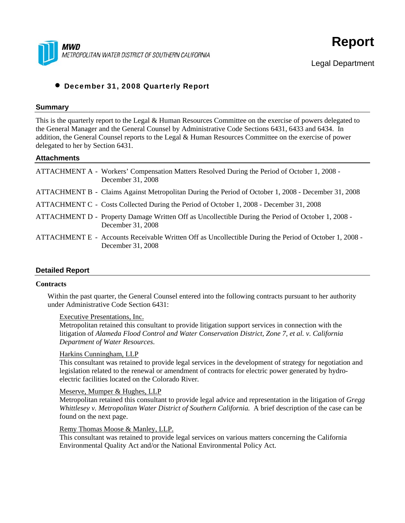



Legal Department

# • December 31, 2008 Quarterly Report

### **Summary**

This is the quarterly report to the Legal & Human Resources Committee on the exercise of powers delegated to the General Manager and the General Counsel by Administrative Code Sections 6431, 6433 and 6434. In addition, the General Counsel reports to the Legal & Human Resources Committee on the exercise of power delegated to her by Section 6431.

#### **Attachments**

| ATTACHMENT A - Workers' Compensation Matters Resolved During the Period of October 1, 2008 -<br>December 31, 2008           |
|-----------------------------------------------------------------------------------------------------------------------------|
| ATTACHMENT B - Claims Against Metropolitan During the Period of October 1, 2008 - December 31, 2008                         |
| ATTACHMENT C - Costs Collected During the Period of October 1, 2008 - December 31, 2008                                     |
| ATTACHMENT D - Property Damage Written Off as Uncollectible During the Period of October 1, 2008 -<br>December 31, 2008     |
| ATTACHMENT E - Accounts Receivable Written Off as Uncollectible During the Period of October 1, 2008 -<br>December 31, 2008 |

### **Detailed Report**

#### **Contracts**

Within the past quarter, the General Counsel entered into the following contracts pursuant to her authority under Administrative Code Section 6431:

#### Executive Presentations, Inc.

Metropolitan retained this consultant to provide litigation support services in connection with the litigation of *Alameda Flood Control and Water Conservation District, Zone 7, et al. v. California Department of Water Resources*.

### Harkins Cunningham, LLP

This consultant was retained to provide legal services in the development of strategy for negotiation and legislation related to the renewal or amendment of contracts for electric power generated by hydroelectric facilities located on the Colorado River*.* 

### Meserve, Mumper & Hughes, LLP

Metropolitan retained this consultant to provide legal advice and representation in the litigation of *Gregg Whittlesey v. Metropolitan Water District of Southern California.* A brief description of the case can be found on the next page.

#### Remy Thomas Moose & Manley, LLP.

This consultant was retained to provide legal services on various matters concerning the California Environmental Quality Act and/or the National Environmental Policy Act.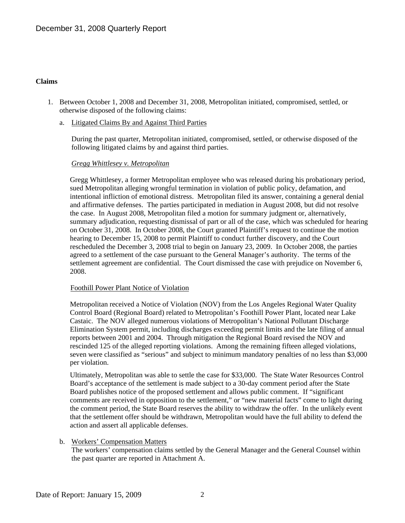### **Claims**

- 1. Between October 1, 2008 and December 31, 2008, Metropolitan initiated, compromised, settled, or otherwise disposed of the following claims:
	- a. Litigated Claims By and Against Third Parties

During the past quarter, Metropolitan initiated, compromised, settled, or otherwise disposed of the following litigated claims by and against third parties.

## *Gregg Whittlesey v. Metropolitan*

Gregg Whittlesey, a former Metropolitan employee who was released during his probationary period, sued Metropolitan alleging wrongful termination in violation of public policy, defamation, and intentional infliction of emotional distress. Metropolitan filed its answer, containing a general denial and affirmative defenses. The parties participated in mediation in August 2008, but did not resolve the case. In August 2008, Metropolitan filed a motion for summary judgment or, alternatively, summary adjudication, requesting dismissal of part or all of the case, which was scheduled for hearing on October 31, 2008. In October 2008, the Court granted Plaintiff's request to continue the motion hearing to December 15, 2008 to permit Plaintiff to conduct further discovery, and the Court rescheduled the December 3, 2008 trial to begin on January 23, 2009. In October 2008, the parties agreed to a settlement of the case pursuant to the General Manager's authority. The terms of the settlement agreement are confidential. The Court dismissed the case with prejudice on November 6, 2008.

#### Foothill Power Plant Notice of Violation

Metropolitan received a Notice of Violation (NOV) from the Los Angeles Regional Water Quality Control Board (Regional Board) related to Metropolitan's Foothill Power Plant, located near Lake Castaic. The NOV alleged numerous violations of Metropolitan's National Pollutant Discharge Elimination System permit, including discharges exceeding permit limits and the late filing of annual reports between 2001 and 2004. Through mitigation the Regional Board revised the NOV and rescinded 125 of the alleged reporting violations. Among the remaining fifteen alleged violations, seven were classified as "serious" and subject to minimum mandatory penalties of no less than \$3,000 per violation.

Ultimately, Metropolitan was able to settle the case for \$33,000. The State Water Resources Control Board's acceptance of the settlement is made subject to a 30-day comment period after the State Board publishes notice of the proposed settlement and allows public comment. If "significant comments are received in opposition to the settlement," or "new material facts" come to light during the comment period, the State Board reserves the ability to withdraw the offer. In the unlikely event that the settlement offer should be withdrawn, Metropolitan would have the full ability to defend the action and assert all applicable defenses.

### b. Workers' Compensation Matters

The workers' compensation claims settled by the General Manager and the General Counsel within the past quarter are reported in Attachment A.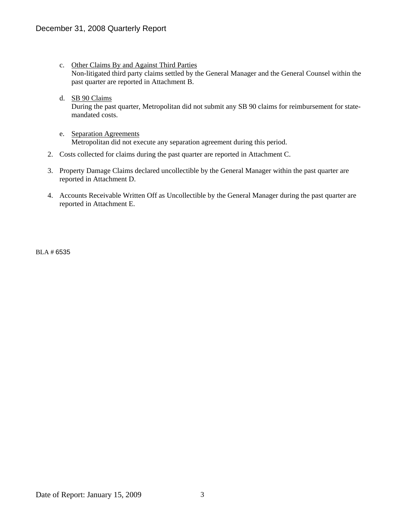- c. Other Claims By and Against Third Parties Non-litigated third party claims settled by the General Manager and the General Counsel within the past quarter are reported in Attachment B.
- d. SB 90 Claims During the past quarter, Metropolitan did not submit any SB 90 claims for reimbursement for statemandated costs.
- e. Separation Agreements Metropolitan did not execute any separation agreement during this period.
- 2. Costs collected for claims during the past quarter are reported in Attachment C.
- 3. Property Damage Claims declared uncollectible by the General Manager within the past quarter are reported in Attachment D.
- 4. Accounts Receivable Written Off as Uncollectible by the General Manager during the past quarter are reported in Attachment E.

BLA # 6535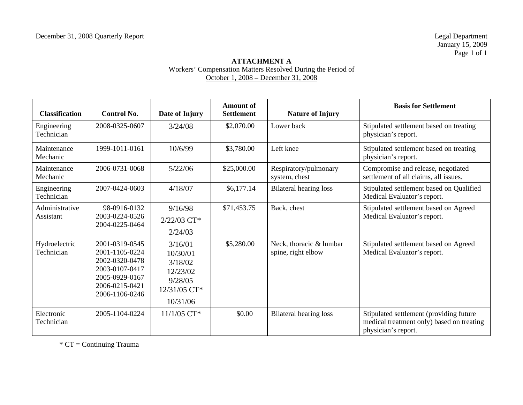## **ATTACHMENT A**  Workers' Compensation Matters Resolved During the Period of October 1, 2008 – December 31, 2008

| <b>Classification</b>       | <b>Control No.</b>                                                                                                         | Date of Injury                                                                    | <b>Amount of</b><br><b>Settlement</b> | <b>Nature of Injury</b>                       | <b>Basis for Settlement</b>                                                                                 |
|-----------------------------|----------------------------------------------------------------------------------------------------------------------------|-----------------------------------------------------------------------------------|---------------------------------------|-----------------------------------------------|-------------------------------------------------------------------------------------------------------------|
| Engineering<br>Technician   | 2008-0325-0607                                                                                                             | 3/24/08                                                                           | \$2,070.00                            | Lower back                                    | Stipulated settlement based on treating<br>physician's report.                                              |
| Maintenance<br>Mechanic     | 1999-1011-0161                                                                                                             | 10/6/99                                                                           | \$3,780.00                            | Left knee                                     | Stipulated settlement based on treating<br>physician's report.                                              |
| Maintenance<br>Mechanic     | 2006-0731-0068                                                                                                             | 5/22/06                                                                           | \$25,000.00                           | Respiratory/pulmonary<br>system, chest        | Compromise and release, negotiated<br>settlement of all claims, all issues.                                 |
| Engineering<br>Technician   | 2007-0424-0603                                                                                                             | 4/18/07                                                                           | \$6,177.14                            | <b>Bilateral hearing loss</b>                 | Stipulated settlement based on Qualified<br>Medical Evaluator's report.                                     |
| Administrative<br>Assistant | 98-0916-0132<br>2003-0224-0526<br>2004-0225-0464                                                                           | 9/16/98<br>$2/22/03$ CT*<br>2/24/03                                               | \$71,453.75                           | Back, chest                                   | Stipulated settlement based on Agreed<br>Medical Evaluator's report.                                        |
| Hydroelectric<br>Technician | 2001-0319-0545<br>2001-1105-0224<br>2002-0320-0478<br>2003-0107-0417<br>2005-0929-0167<br>2006-0215-0421<br>2006-1106-0246 | 3/16/01<br>10/30/01<br>3/18/02<br>12/23/02<br>9/28/05<br>12/31/05 CT*<br>10/31/06 | \$5,280.00                            | Neck, thoracic & lumbar<br>spine, right elbow | Stipulated settlement based on Agreed<br>Medical Evaluator's report.                                        |
| Electronic<br>Technician    | 2005-1104-0224                                                                                                             | $11/1/05$ CT*                                                                     | \$0.00                                | <b>Bilateral hearing loss</b>                 | Stipulated settlement (providing future<br>medical treatment only) based on treating<br>physician's report. |

 $*$  CT = Continuing Trauma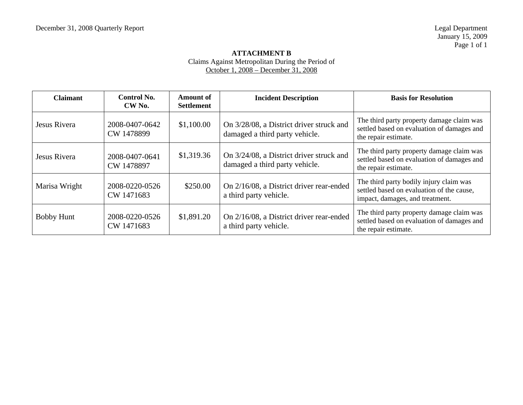### **ATTACHMENT B**  Claims Against Metropolitan During the Period of October 1, 2008 – December 31, 2008

| <b>Claimant</b>   | <b>Control No.</b><br>CW No. | Amount of<br><b>Settlement</b> | <b>Incident Description</b>                                                | <b>Basis for Resolution</b>                                                                                             |
|-------------------|------------------------------|--------------------------------|----------------------------------------------------------------------------|-------------------------------------------------------------------------------------------------------------------------|
| Jesus Rivera      | 2008-0407-0642<br>CW 1478899 | \$1,100.00                     | On 3/28/08, a District driver struck and<br>damaged a third party vehicle. | The third party property damage claim was<br>settled based on evaluation of damages and<br>the repair estimate.         |
| Jesus Rivera      | 2008-0407-0641<br>CW 1478897 | \$1,319.36                     | On 3/24/08, a District driver struck and<br>damaged a third party vehicle. | The third party property damage claim was<br>settled based on evaluation of damages and<br>the repair estimate.         |
| Marisa Wright     | 2008-0220-0526<br>CW 1471683 | \$250.00                       | On 2/16/08, a District driver rear-ended<br>a third party vehicle.         | The third party bodily injury claim was<br>settled based on evaluation of the cause,<br>impact, damages, and treatment. |
| <b>Bobby Hunt</b> | 2008-0220-0526<br>CW 1471683 | \$1,891.20                     | On 2/16/08, a District driver rear-ended<br>a third party vehicle.         | The third party property damage claim was<br>settled based on evaluation of damages and<br>the repair estimate.         |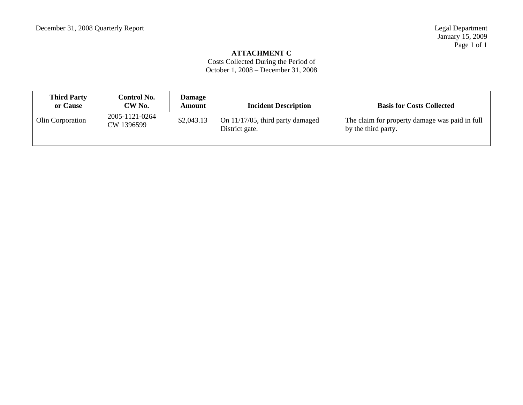### **ATTACHMENT C**

Costs Collected During the Period of October 1, 2008 – December 31, 2008

| <b>Third Party</b><br>or Cause | Control No.<br>CW No.        | Damage<br>Amount | <b>Incident Description</b>                           | <b>Basis for Costs Collected</b>                                      |
|--------------------------------|------------------------------|------------------|-------------------------------------------------------|-----------------------------------------------------------------------|
| Olin Corporation               | 2005-1121-0264<br>CW 1396599 | \$2,043.13       | On $11/17/05$ , third party damaged<br>District gate. | The claim for property damage was paid in full<br>by the third party. |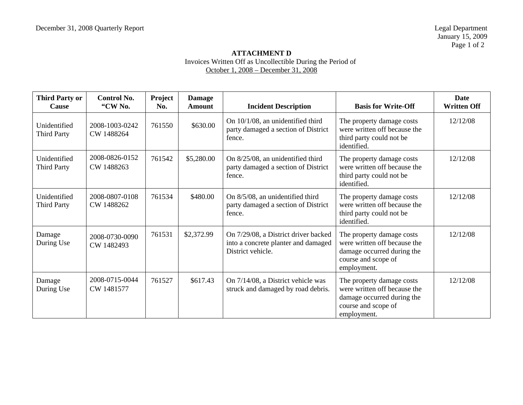## **ATTACHMENT D**  Invoices Written Off as Uncollectible During the Period of October 1, 2008 – December 31, 2008

| <b>Third Party or</b><br><b>Cause</b> | <b>Control No.</b><br>"CW No. | Project<br>No. | <b>Damage</b><br><b>Amount</b> | <b>Incident Description</b>                                                                      | <b>Basis for Write-Off</b>                                                                                                    | Date<br><b>Written Off</b> |
|---------------------------------------|-------------------------------|----------------|--------------------------------|--------------------------------------------------------------------------------------------------|-------------------------------------------------------------------------------------------------------------------------------|----------------------------|
| Unidentified<br><b>Third Party</b>    | 2008-1003-0242<br>CW 1488264  | 761550         | \$630.00                       | On $10/1/08$ , an unidentified third<br>party damaged a section of District<br>fence.            | The property damage costs<br>were written off because the<br>third party could not be<br>identified.                          | 12/12/08                   |
| Unidentified<br><b>Third Party</b>    | 2008-0826-0152<br>CW 1488263  | 761542         | \$5,280.00                     | On 8/25/08, an unidentified third<br>party damaged a section of District<br>fence.               | The property damage costs<br>were written off because the<br>third party could not be<br>identified.                          | 12/12/08                   |
| Unidentified<br><b>Third Party</b>    | 2008-0807-0108<br>CW 1488262  | 761534         | \$480.00                       | On 8/5/08, an unidentified third<br>party damaged a section of District<br>fence.                | The property damage costs<br>were written off because the<br>third party could not be<br>identified.                          | 12/12/08                   |
| Damage<br>During Use                  | 2008-0730-0090<br>CW 1482493  | 761531         | \$2,372.99                     | On 7/29/08, a District driver backed<br>into a concrete planter and damaged<br>District vehicle. | The property damage costs<br>were written off because the<br>damage occurred during the<br>course and scope of<br>employment. | 12/12/08                   |
| Damage<br>During Use                  | 2008-0715-0044<br>CW 1481577  | 761527         | \$617.43                       | On 7/14/08, a District vehicle was<br>struck and damaged by road debris.                         | The property damage costs<br>were written off because the<br>damage occurred during the<br>course and scope of<br>employment. | 12/12/08                   |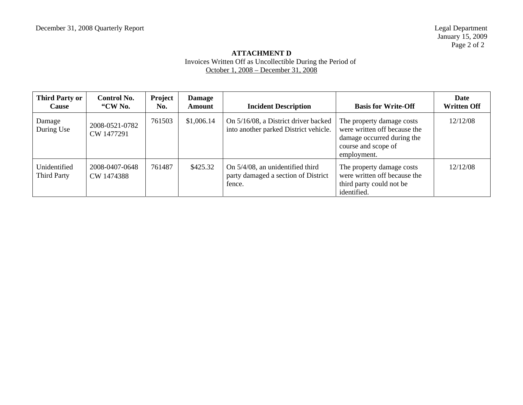## **ATTACHMENT D**  Invoices Written Off as Uncollectible During the Period of October 1, 2008 – December 31, 2008

| <b>Third Party or</b><br><b>Cause</b> | Control No.<br>"CW No.       | <b>Project</b><br>No. | <b>Damage</b><br><b>Amount</b> | <b>Incident Description</b>                                                       | <b>Basis for Write-Off</b>                                                                                                    | <b>Date</b><br><b>Written Off</b> |
|---------------------------------------|------------------------------|-----------------------|--------------------------------|-----------------------------------------------------------------------------------|-------------------------------------------------------------------------------------------------------------------------------|-----------------------------------|
| Damage<br>During Use                  | 2008-0521-0782<br>CW 1477291 | 761503                | \$1,006.14                     | On 5/16/08, a District driver backed<br>into another parked District vehicle.     | The property damage costs<br>were written off because the<br>damage occurred during the<br>course and scope of<br>employment. | 12/12/08                          |
| Unidentified<br>Third Party           | 2008-0407-0648<br>CW 1474388 | 761487                | \$425.32                       | On 5/4/08, an unidentified third<br>party damaged a section of District<br>fence. | The property damage costs<br>were written off because the<br>third party could not be<br>identified.                          | 12/12/08                          |